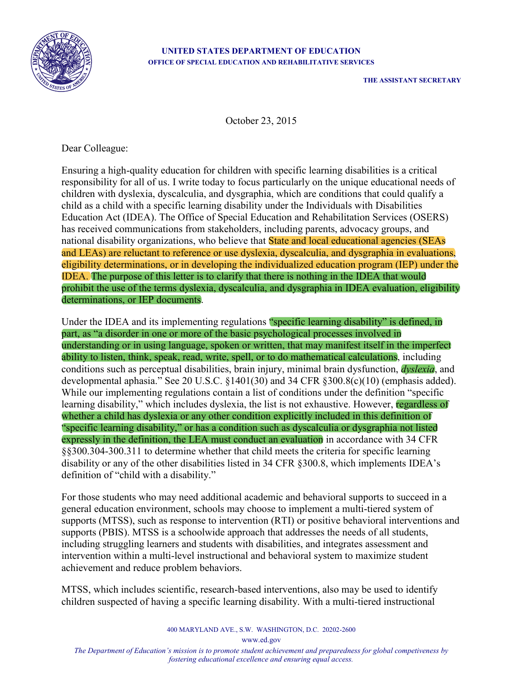

## **UNITED STATES DEPARTMENT OF EDUCATION OFFICE OF SPECIAL EDUCATION AND REHABILITATIVE SERVICES**

**THE ASSISTANT SECRETARY**

October 23, 2015

Dear Colleague:

Ensuring a high-quality education for children with specific learning disabilities is a critical responsibility for all of us. I write today to focus particularly on the unique educational needs of children with dyslexia, dyscalculia, and dysgraphia, which are conditions that could qualify a child as a child with a specific learning disability under the Individuals with Disabilities Education Act (IDEA). The Office of Special Education and Rehabilitation Services (OSERS) has received communications from stakeholders, including parents, advocacy groups, and national disability organizations, who believe that State and local educational agencies (SEAs and LEAs) are reluctant to reference or use dyslexia, dyscalculia, and dysgraphia in evaluations, eligibility determinations, or in developing the individualized education program (IEP) under the IDEA. The purpose of this letter is to clarify that there is nothing in the IDEA that would prohibit the use of the terms dyslexia, dyscalculia, and dysgraphia in IDEA evaluation, eligibility determinations, or IEP documents.

Under the IDEA and its implementing regulations "specific learning disability" is defined, in part, as "a disorder in one or more of the basic psychological processes involved in understanding or in using language, spoken or written, that may manifest itself in the imperfect ability to listen, think, speak, read, write, spell, or to do mathematical calculations, including conditions such as perceptual disabilities, brain injury, minimal brain dysfunction, *dyslexia*, and developmental aphasia.<sup> $\cdot$ </sup> See 20 U.S.C. §1401(30) and 34 CFR §300.8(c)(10) (emphasis added). While our implementing regulations contain a list of conditions under the definition "specific learning disability," which includes dyslexia, the list is not exhaustive. However, regardless of whether a child has dyslexia or any other condition explicitly included in this definition of "specific learning disability," or has a condition such as dyscalculia or dysgraphia not listed expressly in the definition, the LEA must conduct an evaluation in accordance with 34 CFR §§300.304-300.311 to determine whether that child meets the criteria for specific learning disability or any of the other disabilities listed in 34 CFR §300.8, which implements IDEA's definition of "child with a disability."

For those students who may need additional academic and behavioral supports to succeed in a general education environment, schools may choose to implement a multi-tiered system of supports (MTSS), such as response to intervention (RTI) or positive behavioral interventions and supports (PBIS). MTSS is a schoolwide approach that addresses the needs of all students, including struggling learners and students with disabilities, and integrates assessment and intervention within a multi-level instructional and behavioral system to maximize student achievement and reduce problem behaviors.

MTSS, which includes scientific, research-based interventions, also may be used to identify children suspected of having a specific learning disability. With a multi-tiered instructional

www.ed.gov

*The Department of Education's mission is to promote student achievement and preparedness for global competiveness by fostering educational excellence and ensuring equal access.*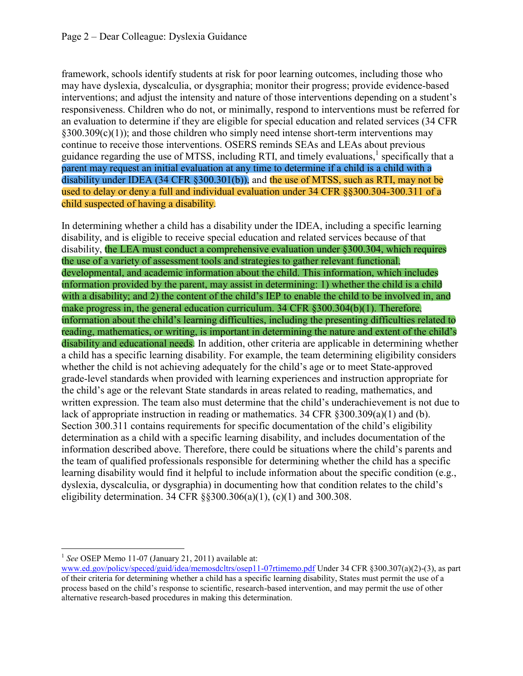framework, schools identify students at risk for poor learning outcomes, including those who may have dyslexia, dyscalculia, or dysgraphia; monitor their progress; provide evidence-based interventions; and adjust the intensity and nature of those interventions depending on a student's responsiveness. Children who do not, or minimally, respond to interventions must be referred for an evaluation to determine if they are eligible for special education and related services (34 CFR §300.309(c)(1)); and those children who simply need intense short-term interventions may continue to receive those interventions. OSERS reminds SEAs and LEAs about previous guidance regarding the use of MTSS, including RTI, and timely evaluations, $\frac{1}{2}$  specifically that a parent may request an initial evaluation at any time to determine if a child is a child with a disability under IDEA (34 CFR §300.301(b)), and the use of MTSS, such as RTI, may not be used to delay or deny a full and individual evaluation under 34 CFR §§300.304-300.311 of a child suspected of having a disability.

In determining whether a child has a disability under the IDEA, including a specific learning disability, and is eligible to receive special education and related services because of that disability, the LEA must conduct a comprehensive evaluation under §300.304, which requires the use of a variety of assessment tools and strategies to gather relevant functional, developmental, and academic information about the child. This information, which includes information provided by the parent, may assist in determining: 1) whether the child is a child with a disability; and 2) the content of the child's IEP to enable the child to be involved in, and make progress in, the general education curriculum. 34 CFR §300.304(b)(1). Therefore, information about the child's learning difficulties, including the presenting difficulties related to reading, mathematics, or writing, is important in determining the nature and extent of the child's disability and educational needs. In addition, other criteria are applicable in determining whether a child has a specific learning disability. For example, the team determining eligibility considers whether the child is not achieving adequately for the child's age or to meet State-approved grade-level standards when provided with learning experiences and instruction appropriate for the child's age or the relevant State standards in areas related to reading, mathematics, and written expression. The team also must determine that the child's underachievement is not due to lack of appropriate instruction in reading or mathematics. 34 CFR §300.309(a)(1) and (b). Section  $300.311$  contains requirements for specific documentation of the child's eligibility determination as a child with a specific learning disability, and includes documentation of the information described above. Therefore, there could be situations where the child's parents and the team of qualified professionals responsible for determining whether the child has a specific learning disability would find it helpful to include information about the specific condition (e.g., dyslexia, dyscalculia, or dysgraphia) in documenting how that condition relates to the child's eligibility determination. 34 CFR  $\S$ §300.306(a)(1), (c)(1) and 300.308.

<sup>&</sup>lt;sup>1</sup> See OSEP Memo 11-07 (January 21, 2011) available at:

www.ed.gov/policy/speced/guid/idea/memosdcltrs/osep11-07rtimemo.pdf Under 34 CFR §300.307(a)(2)-(3), as part of their criteria for determining whether a child has a specific learning disability, States must permit the use of a process based on the child's response to scientific, research-based intervention, and may permit the use of other alternative research-based procedures in making this determination.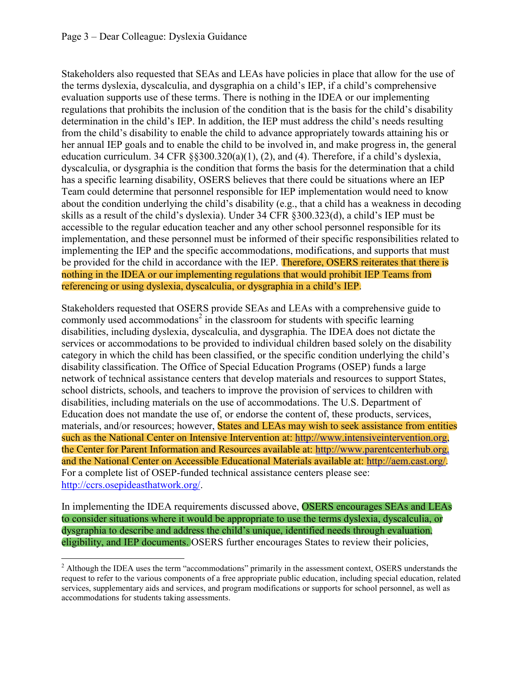Stakeholders also requested that SEAs and LEAs have policies in place that allow for the use of the terms dyslexia, dyscalculia, and dysgraphia on a child's IEP, if a child's comprehensive evaluation supports use of these terms. There is nothing in the IDEA or our implementing regulations that prohibits the inclusion of the condition that is the basis for the child's disability determination in the child's IEP. In addition, the IEP must address the child's needs resulting from the child's disability to enable the child to advance appropriately towards attaining his or her annual IEP goals and to enable the child to be involved in, and make progress in, the general education curriculum. 34 CFR  $\S$ §300.320(a)(1), (2), and (4). Therefore, if a child's dyslexia, dyscalculia, or dysgraphia is the condition that forms the basis for the determination that a child has a specific learning disability, OSERS believes that there could be situations where an IEP Team could determine that personnel responsible for IEP implementation would need to know about the condition underlying the child's disability (e.g., that a child has a weakness in decoding skills as a result of the child's dyslexia). Under 34 CFR  $\S 300.323(d)$ , a child's IEP must be accessible to the regular education teacher and any other school personnel responsible for its implementation, and these personnel must be informed of their specific responsibilities related to implementing the IEP and the specific accommodations, modifications, and supports that must be provided for the child in accordance with the IEP. Therefore, OSERS reiterates that there is nothing in the IDEA or our implementing regulations that would prohibit IEP Teams from referencing or using dyslexia, dyscalculia, or dysgraphia in a child's IEP.

Stakeholders requested that OSERS provide SEAs and LEAs with a comprehensive guide to commonly used accommodations<sup>2</sup> in the classroom for students with specific learning disabilities, including dyslexia, dyscalculia, and dysgraphia. The IDEA does not dictate the services or accommodations to be provided to individual children based solely on the disability category in which the child has been classified, or the specific condition underlying the child's disability classification. The Office of Special Education Programs (OSEP) funds a large network of technical assistance centers that develop materials and resources to support States, school districts, schools, and teachers to improve the provision of services to children with disabilities, including materials on the use of accommodations. The U.S. Department of Education does not mandate the use of, or endorse the content of, these products, services, materials, and/or resources; however, **States and LEAs may wish to seek assistance from entities** such as the National Center on Intensive Intervention at: http://www.intensiveintervention.org, the Center for Parent Information and Resources available at: http://www.parentcenterhub.org, and the National Center on Accessible Educational Materials available at: http://aem.cast.org/. For a complete list of OSEP-funded technical assistance centers please see: http://ccrs.osepideasthatwork.org/.

In implementing the IDEA requirements discussed above, OSERS encourages SEAs and LEAs to consider situations where it would be appropriate to use the terms dyslexia, dyscalculia, or dysgraphia to describe and address the child's unique, identified needs through evaluation, eligibility, and IEP documents. OSERS further encourages States to review their policies,

 $2$  Although the IDEA uses the term "accommodations" primarily in the assessment context, OSERS understands the request to refer to the various components of a free appropriate public education, including special education, related services, supplementary aids and services, and program modifications or supports for school personnel, as well as accommodations for students taking assessments.